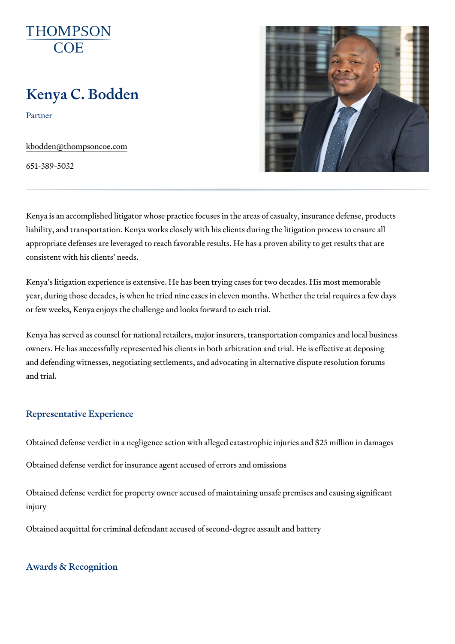# Kenya C. Bodden

Partner

[kbodden@thompso](mailto:kbodden@thompsoncoe.com)ncoe.com

651-389-5032

Kenya is an accomplished litigator whose practice focuses in the areas of liability, and transportation. Kenya works closely with his clients during th appropriate defenses are leveraged to reach favorable results. He has a  $p_1$ consistent with his clients needs.

Kenya s litigation experience is extensive. He has been trying cases for two year, during those decades, is when he tried nine cases in eleven months. or few weeks, Kenya enjoys the challenge and looks forward to each trial.

Kenya has served as counsel for national retailers, major insurers, transportation companies and local business owners. He has successfully represented his clients in both arbitration and and defending witnesses, negotiating settlements, and advocating in alterr and trial.

## Representative Experience

Obtained defense verdict in a negligence action with alleged catastrophic

Obtained defense verdict for insurance agent accused of errors and omissi

Obtained defense verdict for property owner accused of maintaining unsafe iniury

Obtained acquittal for criminal defendant accused of second-degree assaul

## Awards & Recognition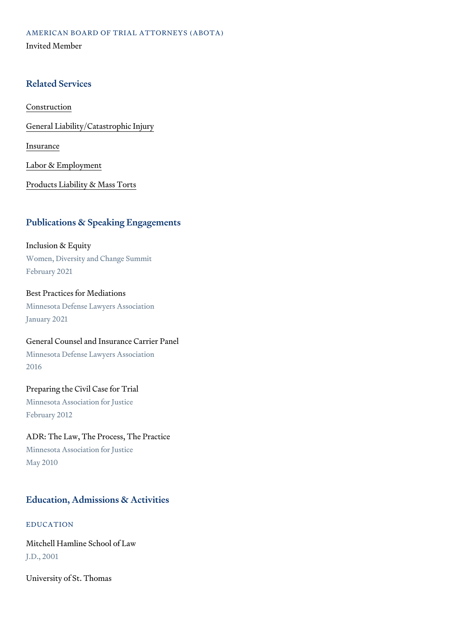AMERICAN BOARD OF TRIAL ATTORNEYS (ABOTA) Invited Member

## Related Services

[Constru](https://www.thompsoncoe.com/people/kenya-c-bodden/)ction

[General Liability/Catas](https://www.thompsoncoe.com/people/kenya-c-bodden/)trophic Injury

[Insura](https://www.thompsoncoe.com/people/kenya-c-bodden/)nce

[Labor & Empl](https://www.thompsoncoe.com/people/kenya-c-bodden/)oyment

[Products Liability &](https://www.thompsoncoe.com/people/kenya-c-bodden/) Mass Torts

## Publications & Speaking Engagements

Inclusion & Equity Women, Diversity and Change Summit February 2021

Best Practices for Mediations Minnesota Defense Lawyers Association January 2021

General Counsel and Insurance Carrier Panel Minnesota Defense Lawyers Association 2016

## Preparing the Civil Case for Trial

Minnesota Association for Justice February 2012

ADR: The Law, The Process, The Practice Minnesota Association for Justice May 2010

# Education, Admissions & Activities

EDUCATION

Mitchell Hamline School of Law J.D., 2001

University of St. Thomas